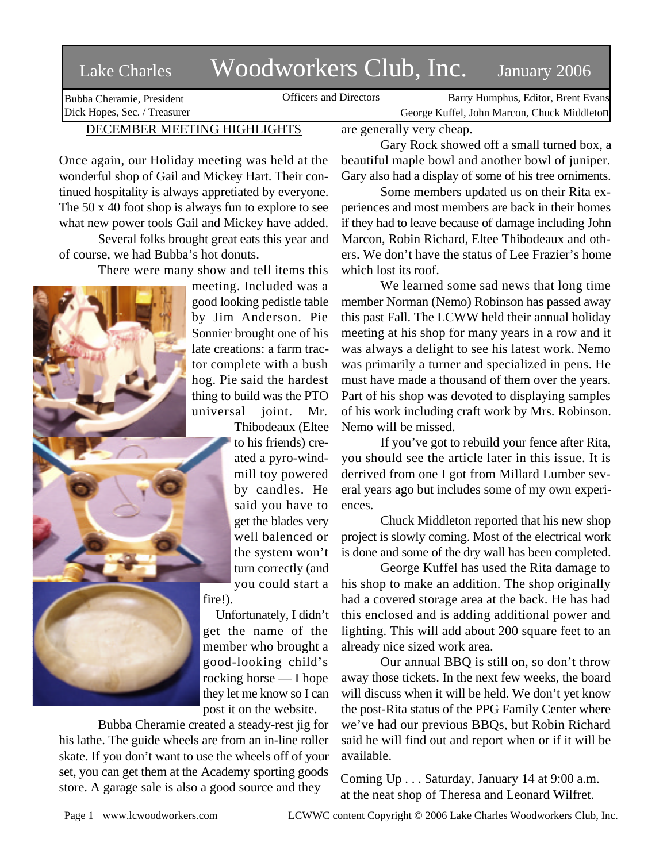## Lake Charles Woodworkers Club, Inc. January 2006

Bubba Cheramie, President Dick Hopes, Sec. / Treasurer

Officers and Directors Barry Humphus, Editor, Brent Evans George Kuffel, John Marcon, Chuck Middleton

## DECEMBER MEETING HIGHLIGHTS

Once again, our Holiday meeting was held at the wonderful shop of Gail and Mickey Hart. Their continued hospitality is always appretiated by everyone. The 50 x 40 foot shop is always fun to explore to see what new power tools Gail and Mickey have added.

Several folks brought great eats this year and of course, we had Bubba's hot donuts.

There were many show and tell items this



meeting. Included was a good looking pedistle table by Jim Anderson. Pie Sonnier brought one of his late creations: a farm tractor complete with a bush hog. Pie said the hardest thing to build was the PTO universal joint. Mr. Thibodeaux (Eltee

to his friends) created a pyro-windmill toy powered by candles. He said you have to get the blades very well balenced or the system won't turn correctly (and you could start a

fire!).

Unfortunately, I didn't get the name of the member who brought a good-looking child's rocking horse — I hope they let me know so I can post it on the website.

Bubba Cheramie created a steady-rest jig for his lathe. The guide wheels are from an in-line roller skate. If you don't want to use the wheels off of your set, you can get them at the Academy sporting goods store. A garage sale is also a good source and they

are generally very cheap.

Gary Rock showed off a small turned box, a beautiful maple bowl and another bowl of juniper. Gary also had a display of some of his tree orniments.

Some members updated us on their Rita experiences and most members are back in their homes if they had to leave because of damage including John Marcon, Robin Richard, Eltee Thibodeaux and others. We don't have the status of Lee Frazier's home which lost its roof.

We learned some sad news that long time member Norman (Nemo) Robinson has passed away this past Fall. The LCWW held their annual holiday meeting at his shop for many years in a row and it was always a delight to see his latest work. Nemo was primarily a turner and specialized in pens. He must have made a thousand of them over the years. Part of his shop was devoted to displaying samples of his work including craft work by Mrs. Robinson. Nemo will be missed.

If you've got to rebuild your fence after Rita, you should see the article later in this issue. It is derrived from one I got from Millard Lumber several years ago but includes some of my own experiences.

Chuck Middleton reported that his new shop project is slowly coming. Most of the electrical work is done and some of the dry wall has been completed.

George Kuffel has used the Rita damage to his shop to make an addition. The shop originally had a covered storage area at the back. He has had this enclosed and is adding additional power and lighting. This will add about 200 square feet to an already nice sized work area.

Our annual BBQ is still on, so don't throw away those tickets. In the next few weeks, the board will discuss when it will be held. We don't yet know the post-Rita status of the PPG Family Center where we've had our previous BBQs, but Robin Richard said he will find out and report when or if it will be available.

Coming Up . . . Saturday, January 14 at 9:00 a.m. at the neat shop of Theresa and Leonard Wilfret.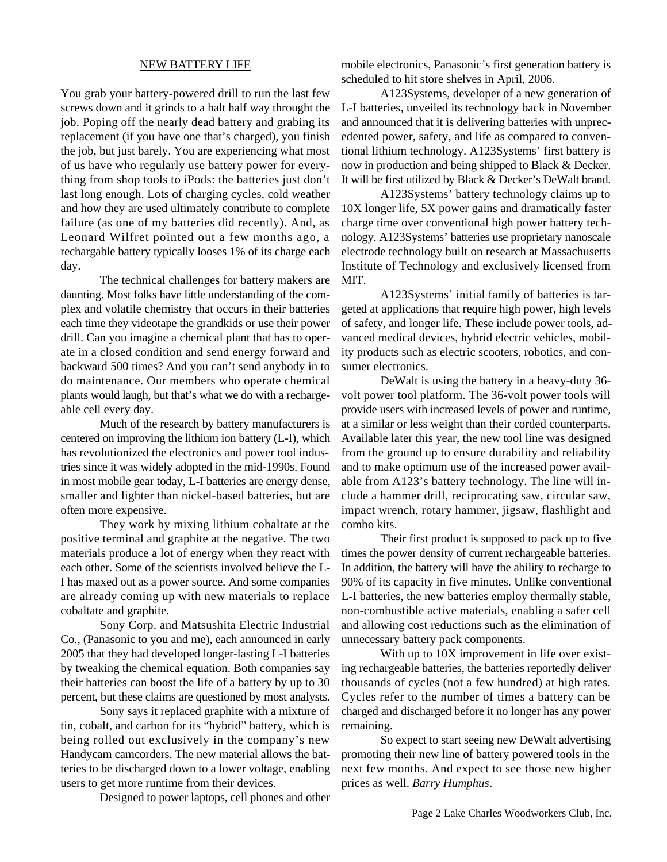## NEW BATTERY LIFE

You grab your battery-powered drill to run the last few screws down and it grinds to a halt half way throught the job. Poping off the nearly dead battery and grabing its replacement (if you have one that's charged), you finish the job, but just barely. You are experiencing what most of us have who regularly use battery power for everything from shop tools to iPods: the batteries just don't last long enough. Lots of charging cycles, cold weather and how they are used ultimately contribute to complete failure (as one of my batteries did recently). And, as Leonard Wilfret pointed out a few months ago, a rechargable battery typically looses 1% of its charge each day.

The technical challenges for battery makers are daunting. Most folks have little understanding of the complex and volatile chemistry that occurs in their batteries each time they videotape the grandkids or use their power drill. Can you imagine a chemical plant that has to operate in a closed condition and send energy forward and backward 500 times? And you can't send anybody in to do maintenance. Our members who operate chemical plants would laugh, but that's what we do with a rechargeable cell every day.

Much of the research by battery manufacturers is centered on improving the lithium ion battery (L-I), which has revolutionized the electronics and power tool industries since it was widely adopted in the mid-1990s. Found in most mobile gear today, L-I batteries are energy dense, smaller and lighter than nickel-based batteries, but are often more expensive.

They work by mixing lithium cobaltate at the positive terminal and graphite at the negative. The two materials produce a lot of energy when they react with each other. Some of the scientists involved believe the L-I has maxed out as a power source. And some companies are already coming up with new materials to replace cobaltate and graphite.

Sony Corp. and Matsushita Electric Industrial Co., (Panasonic to you and me), each announced in early 2005 that they had developed longer-lasting L-I batteries by tweaking the chemical equation. Both companies say their batteries can boost the life of a battery by up to 30 percent, but these claims are questioned by most analysts.

Sony says it replaced graphite with a mixture of tin, cobalt, and carbon for its "hybrid" battery, which is being rolled out exclusively in the company's new Handycam camcorders. The new material allows the batteries to be discharged down to a lower voltage, enabling users to get more runtime from their devices.

Designed to power laptops, cell phones and other

mobile electronics, Panasonic's first generation battery is scheduled to hit store shelves in April, 2006.

A123Systems, developer of a new generation of L-I batteries, unveiled its technology back in November and announced that it is delivering batteries with unprecedented power, safety, and life as compared to conventional lithium technology. A123Systems' first battery is now in production and being shipped to Black & Decker. It will be first utilized by Black & Decker's DeWalt brand.

A123Systems' battery technology claims up to 10X longer life, 5X power gains and dramatically faster charge time over conventional high power battery technology. A123Systems' batteries use proprietary nanoscale electrode technology built on research at Massachusetts Institute of Technology and exclusively licensed from MIT.

A123Systems' initial family of batteries is targeted at applications that require high power, high levels of safety, and longer life. These include power tools, advanced medical devices, hybrid electric vehicles, mobility products such as electric scooters, robotics, and consumer electronics.

DeWalt is using the battery in a heavy-duty 36 volt power tool platform. The 36-volt power tools will provide users with increased levels of power and runtime, at a similar or less weight than their corded counterparts. Available later this year, the new tool line was designed from the ground up to ensure durability and reliability and to make optimum use of the increased power available from A123's battery technology. The line will include a hammer drill, reciprocating saw, circular saw, impact wrench, rotary hammer, jigsaw, flashlight and combo kits.

Their first product is supposed to pack up to five times the power density of current rechargeable batteries. In addition, the battery will have the ability to recharge to 90% of its capacity in five minutes. Unlike conventional L-I batteries, the new batteries employ thermally stable, non-combustible active materials, enabling a safer cell and allowing cost reductions such as the elimination of unnecessary battery pack components.

With up to 10X improvement in life over existing rechargeable batteries, the batteries reportedly deliver thousands of cycles (not a few hundred) at high rates. Cycles refer to the number of times a battery can be charged and discharged before it no longer has any power remaining.

So expect to start seeing new DeWalt advertising promoting their new line of battery powered tools in the next few months. And expect to see those new higher prices as well. *Barry Humphus*.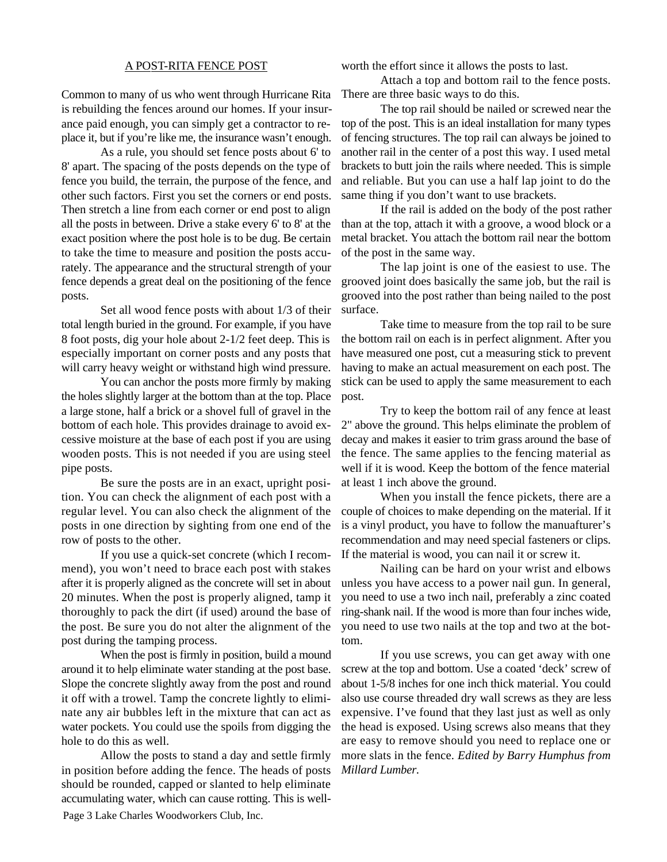## A POST-RITA FENCE POST

Common to many of us who went through Hurricane Rita is rebuilding the fences around our homes. If your insurance paid enough, you can simply get a contractor to replace it, but if you're like me, the insurance wasn't enough.

As a rule, you should set fence posts about 6' to 8' apart. The spacing of the posts depends on the type of fence you build, the terrain, the purpose of the fence, and other such factors. First you set the corners or end posts. Then stretch a line from each corner or end post to align all the posts in between. Drive a stake every 6' to 8' at the exact position where the post hole is to be dug. Be certain to take the time to measure and position the posts accurately. The appearance and the structural strength of your fence depends a great deal on the positioning of the fence posts.

Set all wood fence posts with about 1/3 of their total length buried in the ground. For example, if you have 8 foot posts, dig your hole about 2-1/2 feet deep. This is especially important on corner posts and any posts that will carry heavy weight or withstand high wind pressure.

You can anchor the posts more firmly by making the holes slightly larger at the bottom than at the top. Place a large stone, half a brick or a shovel full of gravel in the bottom of each hole. This provides drainage to avoid excessive moisture at the base of each post if you are using wooden posts. This is not needed if you are using steel pipe posts.

Be sure the posts are in an exact, upright position. You can check the alignment of each post with a regular level. You can also check the alignment of the posts in one direction by sighting from one end of the row of posts to the other.

If you use a quick-set concrete (which I recommend), you won't need to brace each post with stakes after it is properly aligned as the concrete will set in about 20 minutes. When the post is properly aligned, tamp it thoroughly to pack the dirt (if used) around the base of the post. Be sure you do not alter the alignment of the post during the tamping process.

When the post is firmly in position, build a mound around it to help eliminate water standing at the post base. Slope the concrete slightly away from the post and round it off with a trowel. Tamp the concrete lightly to eliminate any air bubbles left in the mixture that can act as water pockets. You could use the spoils from digging the hole to do this as well.

Allow the posts to stand a day and settle firmly in position before adding the fence. The heads of posts should be rounded, capped or slanted to help eliminate accumulating water, which can cause rotting. This is wellworth the effort since it allows the posts to last.

Attach a top and bottom rail to the fence posts. There are three basic ways to do this.

The top rail should be nailed or screwed near the top of the post. This is an ideal installation for many types of fencing structures. The top rail can always be joined to another rail in the center of a post this way. I used metal brackets to butt join the rails where needed. This is simple and reliable. But you can use a half lap joint to do the same thing if you don't want to use brackets.

If the rail is added on the body of the post rather than at the top, attach it with a groove, a wood block or a metal bracket. You attach the bottom rail near the bottom of the post in the same way.

The lap joint is one of the easiest to use. The grooved joint does basically the same job, but the rail is grooved into the post rather than being nailed to the post surface.

Take time to measure from the top rail to be sure the bottom rail on each is in perfect alignment. After you have measured one post, cut a measuring stick to prevent having to make an actual measurement on each post. The stick can be used to apply the same measurement to each post.

Try to keep the bottom rail of any fence at least 2" above the ground. This helps eliminate the problem of decay and makes it easier to trim grass around the base of the fence. The same applies to the fencing material as well if it is wood. Keep the bottom of the fence material at least 1 inch above the ground.

When you install the fence pickets, there are a couple of choices to make depending on the material. If it is a vinyl product, you have to follow the manuafturer's recommendation and may need special fasteners or clips. If the material is wood, you can nail it or screw it.

Nailing can be hard on your wrist and elbows unless you have access to a power nail gun. In general, you need to use a two inch nail, preferably a zinc coated ring-shank nail. If the wood is more than four inches wide, you need to use two nails at the top and two at the bottom.

If you use screws, you can get away with one screw at the top and bottom. Use a coated 'deck' screw of about 1-5/8 inches for one inch thick material. You could also use course threaded dry wall screws as they are less expensive. I've found that they last just as well as only the head is exposed. Using screws also means that they are easy to remove should you need to replace one or more slats in the fence. *Edited by Barry Humphus from Millard Lumber.*

Page 3 Lake Charles Woodworkers Club, Inc.